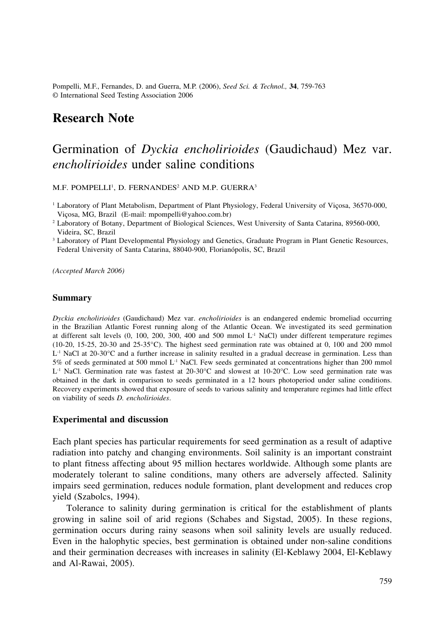Pompelli, M.F., Fernandes, D. and Guerra, M.P. (2006), *Seed Sci. & Technol.,* **34**, 759-763 © International Seed Testing Association 2006

## **Research Note**

# Germination of *Dyckia encholirioides* (Gaudichaud) Mez var. *encholirioides* under saline conditions

M.F. POMPELLI<sup>1</sup>, D. FERNANDES<sup>2</sup> AND M.P. GUERRA<sup>3</sup>

<sup>1</sup> Laboratory of Plant Metabolism, Department of Plant Physiology, Federal University of Viçosa, 36570-000, Viçosa, MG, Brazil (E-mail: mpompelli@yahoo.com.br)

2 Laboratory of Botany, Department of Biological Sciences, West University of Santa Catarina, 89560-000, Videira, SC, Brazil

<sup>3</sup> Laboratory of Plant Developmental Physiology and Genetics, Graduate Program in Plant Genetic Resources, Federal University of Santa Catarina, 88040-900, Florianópolis, SC, Brazil

*(Accepted March 2006)*

#### **Summary**

*Dyckia encholirioides* (Gaudichaud) Mez var. *encholirioides* is an endangered endemic bromeliad occurring in the Brazilian Atlantic Forest running along of the Atlantic Ocean. We investigated its seed germination at different salt levels (0, 100, 200, 300, 400 and 500 mmol L-1 NaCl) under different temperature regimes (10-20, 15-25, 20-30 and 25-35°C). The highest seed germination rate was obtained at 0, 100 and 200 mmol  $L^{-1}$  NaCl at 20-30°C and a further increase in salinity resulted in a gradual decrease in germination. Less than 5% of seeds germinated at 500 mmol  $L<sup>-1</sup>$  NaCl. Few seeds germinated at concentrations higher than 200 mmol  $L^{-1}$  NaCl. Germination rate was fastest at 20-30°C and slowest at 10-20°C. Low seed germination rate was obtained in the dark in comparison to seeds germinated in a 12 hours photoperiod under saline conditions. Recovery experiments showed that exposure of seeds to various salinity and temperature regimes had little effect on viability of seeds *D. encholirioides*.

#### **Experimental and discussion**

Each plant species has particular requirements for seed germination as a result of adaptive radiation into patchy and changing environments. Soil salinity is an important constraint to plant fitness affecting about 95 million hectares worldwide. Although some plants are moderately tolerant to saline conditions, many others are adversely affected. Salinity impairs seed germination, reduces nodule formation, plant development and reduces crop yield (Szabolcs, 1994).

Tolerance to salinity during germination is critical for the establishment of plants growing in saline soil of arid regions (Schabes and Sigstad, 2005). In these regions, germination occurs during rainy seasons when soil salinity levels are usually reduced. Even in the halophytic species, best germination is obtained under non-saline conditions and their germination decreases with increases in salinity (El-Keblawy 2004, El-Keblawy and Al-Rawai, 2005).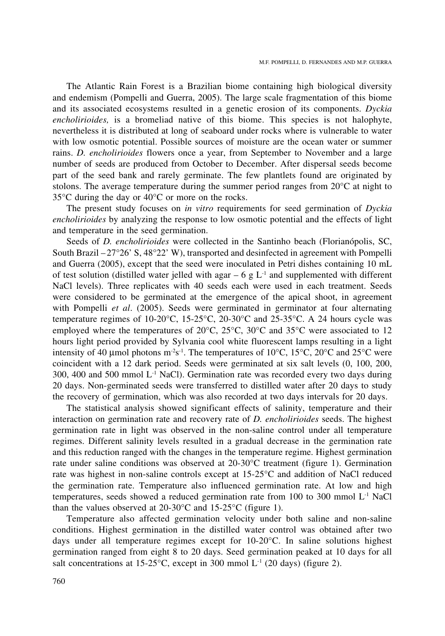The Atlantic Rain Forest is a Brazilian biome containing high biological diversity and endemism (Pompelli and Guerra, 2005). The large scale fragmentation of this biome and its associated ecosystems resulted in a genetic erosion of its components. *Dyckia encholirioides,* is a bromeliad native of this biome. This species is not halophyte, nevertheless it is distributed at long of seaboard under rocks where is vulnerable to water with low osmotic potential. Possible sources of moisture are the ocean water or summer rains. *D. encholirioides* flowers once a year, from September to November and a large number of seeds are produced from October to December. After dispersal seeds become part of the seed bank and rarely germinate. The few plantlets found are originated by stolons. The average temperature during the summer period ranges from 20°C at night to 35°C during the day or 40°C or more on the rocks.

The present study focuses on *in vitro* requirements for seed germination of *Dyckia encholirioides* by analyzing the response to low osmotic potential and the effects of light and temperature in the seed germination.

Seeds of *D. encholirioides* were collected in the Santinho beach (Florianópolis, SC, South Brazil – 27°26' S, 48°22' W), transported and desinfected in agreement with Pompelli and Guerra (2005), except that the seed were inoculated in Petri dishes containing 10 mL of test solution (distilled water jelled with agar – 6 g  $L^{-1}$  and supplemented with different NaCl levels). Three replicates with 40 seeds each were used in each treatment. Seeds were considered to be germinated at the emergence of the apical shoot, in agreement with Pompelli *et al*. (2005). Seeds were germinated in germinator at four alternating temperature regimes of 10-20 $^{\circ}$ C, 15-25 $^{\circ}$ C, 20-30 $^{\circ}$ C and 25-35 $^{\circ}$ C. A 24 hours cycle was employed where the temperatures of 20°C, 25°C, 30°C and 35°C were associated to 12 hours light period provided by Sylvania cool white fluorescent lamps resulting in a light intensity of 40 µmol photons m<sup>-2</sup>s<sup>-1</sup>. The temperatures of 10°C, 15°C, 20°C and 25°C were coincident with a 12 dark period. Seeds were germinated at six salt levels (0, 100, 200, 300, 400 and 500 mmol  $L^{-1}$  NaCl). Germination rate was recorded every two days during 20 days. Non-germinated seeds were transferred to distilled water after 20 days to study the recovery of germination, which was also recorded at two days intervals for 20 days.

The statistical analysis showed significant effects of salinity, temperature and their interaction on germination rate and recovery rate of *D. encholirioides* seeds. The highest germination rate in light was observed in the non-saline control under all temperature regimes. Different salinity levels resulted in a gradual decrease in the germination rate and this reduction ranged with the changes in the temperature regime. Highest germination rate under saline conditions was observed at 20-30°C treatment (figure 1). Germination rate was highest in non-saline controls except at 15-25°C and addition of NaCl reduced the germination rate. Temperature also influenced germination rate. At low and high temperatures, seeds showed a reduced germination rate from 100 to 300 mmol  $L<sup>-1</sup>$  NaCl than the values observed at 20-30°C and 15-25°C (figure 1).

Temperature also affected germination velocity under both saline and non-saline conditions. Highest germination in the distilled water control was obtained after two days under all temperature regimes except for 10-20°C. In saline solutions highest germination ranged from eight 8 to 20 days. Seed germination peaked at 10 days for all salt concentrations at  $15{\text -}25^{\circ}\text{C}$ , except in 300 mmol L<sup>-1</sup> (20 days) (figure 2).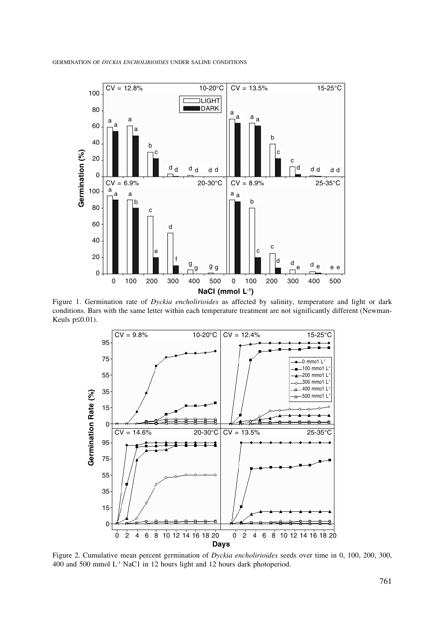

Figure 1. Germination rate of *Dyckia encholirioides* as affected by salinity, temperature and light or dark conditions. Bars with the same letter within each temperature treatment are not significantly different (Newman-Keuls p≤0.01).



Figure 2. Cumulative mean percent germination of *Dyckia encholirioides* seeds over time in 0, 100, 200, 300, 400 and 500 mmol L-1 NaC1 in 12 hours light and 12 hours dark photoperiod.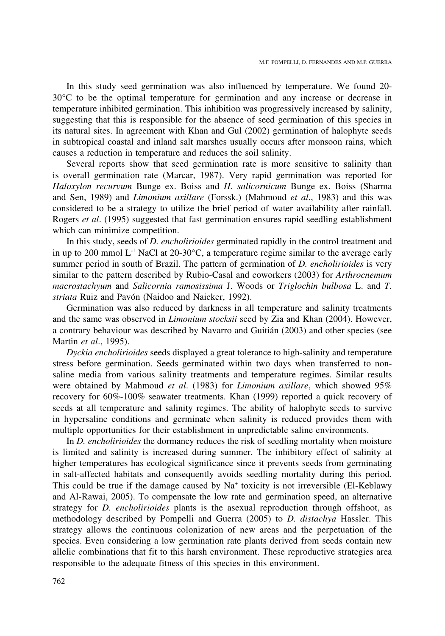In this study seed germination was also influenced by temperature. We found 20- 30°C to be the optimal temperature for germination and any increase or decrease in temperature inhibited germination. This inhibition was progressively increased by salinity, suggesting that this is responsible for the absence of seed germination of this species in its natural sites. In agreement with Khan and Gul (2002) germination of halophyte seeds in subtropical coastal and inland salt marshes usually occurs after monsoon rains, which causes a reduction in temperature and reduces the soil salinity.

Several reports show that seed germination rate is more sensitive to salinity than is overall germination rate (Marcar, 1987). Very rapid germination was reported for *Haloxylon recurvum* Bunge ex. Boiss and *H. salicornicum* Bunge ex. Boiss (Sharma and Sen, 1989) and *Limonium axillare* (Forssk.) (Mahmoud *et al*., 1983) and this was considered to be a strategy to utilize the brief period of water availability after rainfall. Rogers *et al*. (1995) suggested that fast germination ensures rapid seedling establishment which can minimize competition.

In this study, seeds of *D. encholirioides* germinated rapidly in the control treatment and in up to 200 mmol  $L^{-1}$  NaCl at 20-30°C, a temperature regime similar to the average early summer period in south of Brazil. The pattern of germination of *D. encholirioides* is very similar to the pattern described by Rubio-Casal and coworkers (2003) for *Arthrocnemum macrostachyum* and *Salicornia ramosissima* J. Woods or *Triglochin bulbosa* L. and *T. striata* Ruiz and Pavón (Naidoo and Naicker, 1992).

Germination was also reduced by darkness in all temperature and salinity treatments and the same was observed in *Limonium stocksii* seed by Zia and Khan (2004). However, a contrary behaviour was described by Navarro and Guitián (2003) and other species (see Martin *et al*., 1995).

*Dyckia encholirioides* seeds displayed a great tolerance to high-salinity and temperature stress before germination. Seeds germinated within two days when transferred to nonsaline media from various salinity treatments and temperature regimes. Similar results were obtained by Mahmoud *et al*. (1983) for *Limonium axillare*, which showed 95% recovery for 60%-100% seawater treatments. Khan (1999) reported a quick recovery of seeds at all temperature and salinity regimes. The ability of halophyte seeds to survive in hypersaline conditions and germinate when salinity is reduced provides them with multiple opportunities for their establishment in unpredictable saline environments.

In *D. encholirioides* the dormancy reduces the risk of seedling mortality when moisture is limited and salinity is increased during summer. The inhibitory effect of salinity at higher temperatures has ecological significance since it prevents seeds from germinating in salt-affected habitats and consequently avoids seedling mortality during this period. This could be true if the damage caused by  $Na<sup>+</sup>$  toxicity is not irreversible (El-Keblawy and Al-Rawai, 2005). To compensate the low rate and germination speed, an alternative strategy for *D. encholirioides* plants is the asexual reproduction through offshoot, as methodology described by Pompelli and Guerra (2005) to *D. distachya* Hassler. This strategy allows the continuous colonization of new areas and the perpetuation of the species. Even considering a low germination rate plants derived from seeds contain new allelic combinations that fit to this harsh environment. These reproductive strategies area responsible to the adequate fitness of this species in this environment.